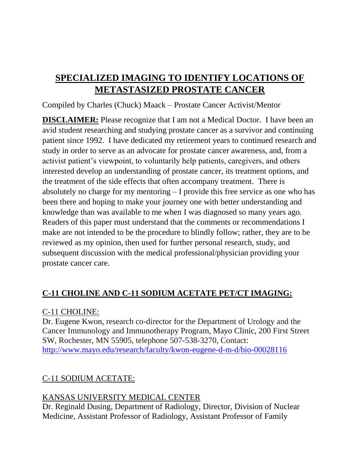# **SPECIALIZED IMAGING TO IDENTIFY LOCATIONS OF METASTASIZED PROSTATE CANCER**

Compiled by Charles (Chuck) Maack – Prostate Cancer Activist/Mentor

**DISCLAIMER:** Please recognize that I am not a Medical Doctor. I have been an avid student researching and studying prostate cancer as a survivor and continuing patient since 1992. I have dedicated my retirement years to continued research and study in order to serve as an advocate for prostate cancer awareness, and, from a activist patient's viewpoint, to voluntarily help patients, caregivers, and others interested develop an understanding of prostate cancer, its treatment options, and the treatment of the side effects that often accompany treatment. There is absolutely no charge for my mentoring – I provide this free service as one who has been there and hoping to make your journey one with better understanding and knowledge than was available to me when I was diagnosed so many years ago. Readers of this paper must understand that the comments or recommendations I make are not intended to be the procedure to blindly follow; rather, they are to be reviewed as my opinion, then used for further personal research, study, and subsequent discussion with the medical professional/physician providing your prostate cancer care.

## **C-11 CHOLINE AND C-11 SODIUM ACETATE PET/CT IMAGING:**

#### C-11 CHOLINE:

Dr. Eugene Kwon, research co-director for the Department of Urology and the Cancer Immunology and Immunotherapy Program, Mayo Clinic, 200 First Street SW, Rochester, MN 55905, telephone 507-538-3270, Contact: <http://www.mayo.edu/research/faculty/kwon-eugene-d-m-d/bio-00028116>

## C-11 SODIUM ACETATE:

## KANSAS UNIVERSITY MEDICAL CENTER

Dr. Reginald Dusing, Department of Radiology, Director, Division of Nuclear Medicine, Assistant Professor of Radiology, Assistant Professor of Family